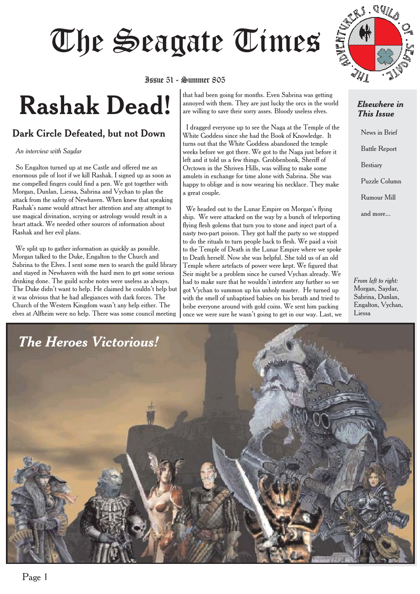# Issue 51 - Summer 805



# Issue 51 - Summer 805

# **Rashak Dead!**

## Dark Circle Defeated, but not Down

*An interview with Saydar*

So Engalton turned up at me Castle and offered me an enormous pile of loot if we kill Rashak. I signed up as soon as me compelled fingers could find a pen. We got together with Morgan, Dunlan, Liessa, Sabrina and Vychan to plan the attack from the safety of Newhaven. When knew that speaking Rashak's name would attract her attention and any attempt to use magical divination, scrying or astrology would result in a heart attack. We needed other sources of information about Rashak and her evil plans.

We split up to gather information as quickly as possible. Morgan talked to the Duke, Engalton to the Church and Sabrina to the Elves. I sent some men to search the guild library and stayed in Newhaven with the hard men to get some serious drinking done. The guild scribe notes were useless as always. The Duke didn't want to help. He claimed he couldn't help but it was obvious that he had allegiances with dark forces. The Church of the Western Kingdom wasn't any help either. The elves at Alfheim were no help. There was some council meeting

that had been going for months. Even Sabrina was getting annoyed with them. They are just lucky the orcs in the world are willing to save their sorry asses. Bloody useless elves.

I dragged everyone up to see the Naga at the Temple of the White Goddess since she had the Book of Knowledge. It turns out that the White Goddess abandoned the temple weeks before we got there. We got to the Naga just before it left and it told us a few things. Grobbenbonk, Sheriff of Orctown in the Shriven Hills, was willing to make some amulets in exchange for time alone with Sabrina. She was happy to oblige and is now wearing his necklace. They make a great couple.

We headed out to the Lunar Empire on Morgan's flying ship. We were attacked on the way by a bunch of teleporting flying flesh golems that turn you to stone and inject part of a nasty two-part poison. They got half the party so we stopped to do the rituals to turn people back to flesh. We paid a visit to the Temple of Death in the Lunar Empire where we spoke to Death herself. Now she was helpful. She told us of an old Temple where artefacts of power were kept. We figured that Seir might be a problem since he cursed Vychan already. We had to make sure that he wouldn't interfere any further so we got Vychan to summon up his unholy master. He turned up with the smell of unbaptised babies on his breath and tried to bribe everyone around with gold coins. We sent him packing once we were sure he wasn't going to get in our way. Last, we

#### *Elsewhere in This Issue*

News in Brief Battle Report Bestiary Puzzle Column Rumour Mill and more...

*From left to right:* Morgan, Saydar, Sabrina, Dunlan, Engalton, Vychan, Liessa

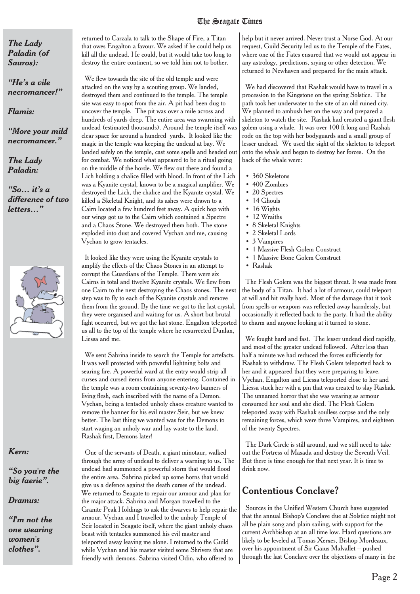*The Lady Paladin (of Sauros):*

*"He's a vile necromancer!"*

*Flamis:*

*"More your mild necromancer."*

*The Lady Paladin:*

*"So… it's a difference of two letters…"*



*Kern:*

*"So you're the big faerie".*

*Dramus:*

*"I'm not the one wearing women's clothes".*

returned to Carzala to talk to the Shape of Fire, a Titan that owes Engalton a favour. We asked if he could help us kill all the undead. He could, but it would take too long to destroy the entire continent, so we told him not to bother.

We flew towards the site of the old temple and were attacked on the way by a scouting group. We landed, destroyed them and continued to the temple. The temple site was easy to spot from the air. A pit had been dug to uncover the temple. The pit was over a mile across and hundreds of yards deep. The entire area was swarming with undead (estimated thousands). Around the temple itself was clear space for around a hundred yards. It looked like the magic in the temple was keeping the undead at bay. We landed safely on the temple, cast some spells and headed out for combat. We noticed what appeared to be a ritual going on the middle of the horde. We flew out there and found a Lich holding a chalice filled with blood. In front of the Lich was a Kyanite crystal, known to be a magical amplifier. We destroyed the Lich, the chalice and the Kyanite crystal. We killed a Skeletal Knight, and its ashes were drawn to a Cairn located a few hundred feet away. A quick hop with our wings got us to the Cairn which contained a Spectre and a Chaos Stone. We destroyed them both. The stone exploded into dust and covered Vychan and me, causing Vychan to grow tentacles.

It looked like they were using the Kyanite crystals to amplify the effects of the Chaos Stones in an attempt to corrupt the Guardians of the Temple. There were six Cairns in total and ttwelve Kyanite crystals. We flew from one Cairn to the next destroying the Chaos stones. The next step was to fly to each of the Kyanite crystals and remove them from the ground. By the time we got to the last crystal, they were organised and waiting for us. A short but brutal fight occurred, but we got the last stone. Engalton teleported us all to the top of the temple where he resurrected Dunlan, Liessa and me.

We sent Sabrina inside to search the Temple for artefacts. It was well protected with powerful lightning bolts and searing fire. A powerful ward at the entry would strip all curses and cursed items from anyone entering. Contained in the temple was a room containing seventy-two banners of living flesh, each inscribed with the name of a Demon. Vychan, being a tentacled unholy chaos creature wanted to remove the banner for his evil master Seir, but we knew better. The last thing we wanted was for the Demons to start waging an unholy war and lay waste to the land. Rashak first, Demons later!

One of the servants of Death, a giant minotaur, walked through the army of undead to deliver a warning to us. The undead had summoned a powerful storm that would flood the entire area. Sabrina picked up some horns that would give us a defence against the death curses of the undead. We returned to Seagate to repair our armour and plan for the major attack. Sabrina and Morgan travelled to the Granite Peak Holdings to ask the dwarves to help repair the armour. Vychan and I travelled to the unholy Temple of Seir located in Seagate itself, where the giant unholy chaos beast with tentacles summoned his evil master and teleported away leaving me alone. I returned to the Guild while Vychan and his master visited some Shrivers that are friendly with demons. Sabrina visited Odin, who offered to

help but it never arrived. Never trust a Norse God. At our request, Guild Security led us to the Temple of the Fates, where one of the Fates ensured that we would not appear in any astrology, predictions, srying or other detection. We returned to Newhaven and prepared for the main attack.

We had discovered that Rashak would have to travel in a procession to the Kingstone on the spring Solstice. The path took her underwater to the site of an old ruined city. We planned to ambush her on the way and prepared a skeleton to watch the site. Rashak had created a giant flesh golem using a whale. It was over 100 ft long and Rashak rode on the top with her bodyguards and a small group of lesser undead. We used the sight of the skeleton to teleport onto the whale and began to destroy her forces. On the back of the whale were:

- 360 Skeletons
- 400 Zombies
- 20 Spectres
- 14 Ghouls
- 16 Wights
- 12 Wraiths
- 8 Skeletal Knights
- 2 Skeletal Lords
- 3 Vampires
- 1 Massive Flesh Golem Construct
- 1 Massive Bone Golem Construct
- Rashak

The Flesh Golem was the biggest threat. It was made from the body of a Titan. It had a lot of armour, could teleport at will and hit really hard. Most of the damage that it took from spells or weapons was reflected away harmlessly, but occasionally it reflected back to the party. It had the ability to charm and anyone looking at it turned to stone.

We fought hard and fast. The lesser undead died rapidly, and most of the greater undead followed. After less than half a minute we had reduced the forces sufficiently for Rashak to withdraw. The Flesh Golem teleported back to her and it appeared that they were preparing to leave. Vychan, Engalton and Liessa teleported close to her and Liessa stuck her with a pin that was created to slay Rashak. The unnamed horror that she was wearing as armour consumed her soul and she died. The Flesh Golem teleported away with Rashak soulless corpse and the only remaining forces, which were three Vampires, and eighteen of the twenty Spectres.

The Dark Circle is still around, and we still need to take out the Fortress of Masada and destroy the Seventh Veil. But there is time enough for that next year. It is time to drink now.

# Contentious Conclave?

Sources in the Unified Western Church have suggested that the annual Bishop's Conclave due at Solstice might not all be plain song and plain sailing, with support for the current Archbishop at an all time low. Hard questions are likely to be leveled at Tomas Xerxes, Bishop Mordeaux, over his appointment of Sir Gaius Malvallet -- pushed through the last Conclave over the objections of many in the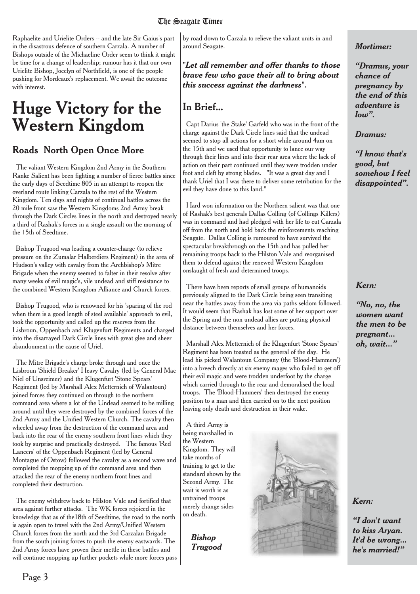Raphaelite and Urielite Orders -- and the late Sir Gaius's part in the disastrous defence of southern Carzala. A number of Bishops outside of the Michaeline Order seem to think it might be time for a change of leadership; rumour has it that our own Urielite Bishop, Jocelyn of Northfield, is one of the people pushing for Mordeaux's replacement. We await the outcome with interest.

# **Huge Victory for the Western Kingdom**

## Roads North Open Once More

The valiant Western Kingdom 2nd Army in the Southern Ranke Salient has been fighting a number of fierce battles since the early days of Seedtime 805 in an attempt to reopen the overland route linking Carzala to the rest of the Western Kingdom. Ten days and nights of continual battles across the 20 mile front saw the Western Kingdoms 2nd Army break through the Dark Circles lines in the north and destroyed nearly a third of Rashak's forces in a single assault on the morning of the 15th of Seedtime.

Bishop Trugood was leading a counter-charge (to relieve pressure on the Zumalar Halberdiers Regiment) in the area of Hudson's valley with cavalry from the Archbishop's Mitre Brigade when the enemy seemed to falter in their resolve after many weeks of evil magic's, vile undead and stiff resistance to the combined Western Kingdom Alliance and Church forces.

Bishop Trugood, who is renowned for his 'sparing of the rod when there is a good length of steel available' approach to evil. took the opportunity and called up the reserves from the Lisbroun, Oppenbach and Klugenfurt Regiments and charged into the disarrayed Dark Circle lines with great glee and sheer abandonment in the cause of Uriel.

The Mitre Brigade's charge broke through and once the Lisbroun 'Shield Breaker' Heavy Cavalry (led by General Mac Niel of Unsreimer) and the Klugenfurt 'Stone Spears' Regiment (led by Marshall Alex Metternich of Walantoun) joined forces they continued on through to the northern command area where a lot of the Undead seemed to be milling around until they were destroyed by the combined forces of the 2nd Army and the Unified Western Church. The cavalry then wheeled away from the destruction of the command area and back into the rear of the enemy southern front lines which they took by surprise and practically destroyed. The famous 'Red Lancers' of the Oppenbach Regiment (led by General Montague of Ostow) followed the cavalry as a second wave and completed the mopping up of the command area and then attacked the rear of the enemy northern front lines and completed their destruction.

The enemy withdrew back to Hilston Vale and fortified that area against further attacks. The WK forces rejoiced in the knowledge that as of the18th of Seedtime, the road to the north is again open to travel with the 2nd Army/Unified Western Church forces from the north and the 3rd Carzalan Brigade from the south joining forces to push the enemy eastwards. The 2nd Army forces have proven their mettle in these battles and will continue mopping up further pockets while more forces pass

by road down to Carzala to relieve the valiant units in and around Seagate.

*"Let all remember and offer thanks to those brave few who gave their all to bring about this success against the darkness".*

# In Brief...

Capt Darius 'the Stake' Garfeld who was in the front of the charge against the Dark Circle lines said that the undead seemed to stop all actions for a short while around 4am on the 15th and we used that opportunity to lance our way through their lines and into their rear area where the lack of action on their part continued until they were trodden under foot and cleft by strong blades. "It was a great day and I thank Uriel that I was there to deliver some retribution for the evil they have done to this land."

Hard won information on the Northern salient was that one of Rashak's best generals Dallas Colling (of Collings Killers) was in command and had pledged with her life to cut Carzala off from the north and hold back the reinforcements reaching Seagate. Dallas Colling is rumoured to have survived the spectacular breakthrough on the 15th and has pulled her remaining troops back to the Hilston Vale and reorganised them to defend against the renewed Western Kingdom onslaught of fresh and determined troops.

There have been reports of small groups of humanoids previously aligned to the Dark Circle being seen transiting near the battles away from the area via paths seldom followed. It would seem that Rashak has lost some of her support over the Spring and the non undead allies are putting physical distance between themselves and her forces.

Marshall Alex Metternich of the Klugenfurt 'Stone Spears' Regiment has been toasted as the general of the day. He lead his picked Walantoun Company (the 'Blood-Hammers') into a breech directly at six enemy mages who failed to get off their evil magic and were trodden underfoot by the charge which carried through to the rear and demoralised the local troops. The 'Blood-Hammers' then destroyed the enemy position to a man and then carried on to the next position leaving only death and destruction in their wake.

A third Army is being marshalled in the Western Kingdom. They will take months of training to get to the standard shown by the Second Army. The wait is worth is as untrained troops merely change sides on death.

> *Bishop Trugood*



#### *Mortimer:*

*"Dramus, your chance of pregnancy by the end of this adventure is low".*

#### *Dramus:*

*"I know that's good, but somehow I feel disappointed".*

### *Kern:*

*"No, no, the women want the men to be pregnant... oh, wait..."*

*Kern:*

*"I don't want to kiss Aryan. It'd be wrong... he's married!"*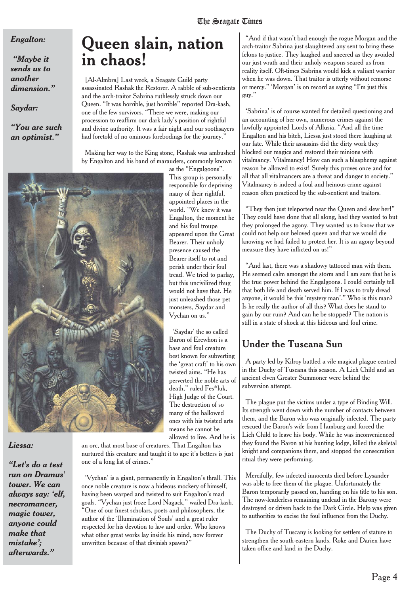#### *Engalton:*

*"Maybe it sends us to another dimension."*

*Saydar:*

*"You are such an optimist."*

# **Queen slain, nation in chaos!**

[Al-Almbra] Last week, a Seagate Guild party assassinated Rashak the Restorer. A rabble of sub-sentients and the arch-traitor Sabrina ruthlessly struck down our Queen. "It was horrible, just horrible" reported Dra-kash, one of the few survivors. "There we were, making our procession to reaffirm our dark lady's position of rightful and divine authority. It was a fair night and our soothsayers had foretold of no ominous forebodings for the journey."

Making her way to the King stone, Rashak was ambushed by Engalton and his band of marauders, commonly known



#### *Liessa:*

*"Let's do a test run on Dramus' tower. We can always say: 'elf, necromancer, magic tower, anyone could make that mistake'; afterwards."*

as the "Engalgoons". This group is personally responsible for depriving many of their rightful, appointed places in the world. "We knew it was Engalton, the moment he and his foul troupe appeared upon the Great Bearer. Their unholy presence caused the Bearer itself to rot and perish under their foul tread. We tried to parlay, but this uncivilized thug would not have that. He just unleashed those pet monsters, Saydar and Vychan on us."

'Saydar' the so called Baron of Erewhon is a base and foul creature best known for subverting the 'great craft' to his own twisted aims. "He has perverted the noble arts of death," ruled Fes\*luk, High Judge of the Court. The destruction of so many of the hallowed ones with his twisted arts means he cannot be allowed to live. And he is

an orc, that most base of creatures. That Engalton has

nurtured this creature and taught it to ape it's betters is just one of a long list of crimes."

'Vychan' is a giant, permanently in Engalton's thrall. This once noble creature is now a hideous mockery of himself, having been warped and twisted to suit Engalton's mad goals. "Vychan just froze Lord Nagack," wailed Dra-kash. "One of our finest scholars, poets and philosophers, the author of the 'Illumination of Souls' and a great ruler respected for his devotion to law and order. Who knows what other great works lay inside his mind, now forever unwritten because of that divinish spawn?"

"And if that wasn't bad enough the rogue Morgan and the arch-traitor Sabrina just slaughtered any sent to bring these felons to justice. They laughed and sneered as they avoided our just wrath and their unholy weapons seared us from reality itself. Oft-times Sabrina would kick a valiant warrior when he was down. That traitor is utterly without remorse or mercy." 'Morgan' is on record as saying "I'm just this guy."

'Sabrina' is of course wanted for detailed questioning and an accounting of her own, numerous crimes against the lawfully appointed Lords of Allusia. "And all the time Engalton and his bitch, Liessa just stood there laughing at our fate. While their assassins did the dirty work they blocked our magics and restored their minions with vitalmancy. Vitalmancy! How can such a blasphemy against reason be allowed to exist! Surely this proves once and for all that all vitalmancers are a threat and danger to society." Vitalmancy is indeed a foul and heinous crime against reason often practiced by the sub-sentient and traitors.

"They then just teleported near the Queen and slew her!" They could have done that all along, had they wanted to but they prolonged the agony. They wanted us to know that we could not help our beloved queen and that we would die knowing we had failed to protect her. It is an agony beyond measure they have inflicted on us!"

"And last, there was a shadowy tattooed man with them. He seemed calm amongst the storm and I am sure that he is the true power behind the Engalgoons. I could certainly tell that both life and death served him. If I was to truly dread anyone, it would be this 'mystery man'." Who is this man? Is he really the author of all this? What does he stand to gain by our ruin? And can he be stopped? The nation is still in a state of shock at this hideous and foul crime.

## Under the Tuscana Sun

A party led by Kilroy battled a vile magical plague centred in the Duchy of Tuscana this season. A Lich Child and an ancient elven Greater Summoner were behind the subversion attempt.

The plague put the victims under a type of Binding Will. Its strength went down with the number of contacts between them, and the Baron who was originally infected. The party rescued the Baron's wife from Hamburg and forced the Lich Child to leave his body. While he was inconvenienced they found the Baron at his hunting lodge, killed the skeletal knight and companions there, and stopped the consecration ritual they were performing.

Mercifully, few infected innocents died before Lysander was able to free them of the plague. Unfortunately the Baron temporarily passed on, handing on his title to his son. The now-leaderless remaining undead in the Barony were destroyed or driven back to the Dark Circle. Help was given to authorities to excise the foul influence from the Duchy.

The Duchy of Tuscany is looking for settlers of stature to strengthen the south-eastern lands. Roke and Darien have taken office and land in the Duchy.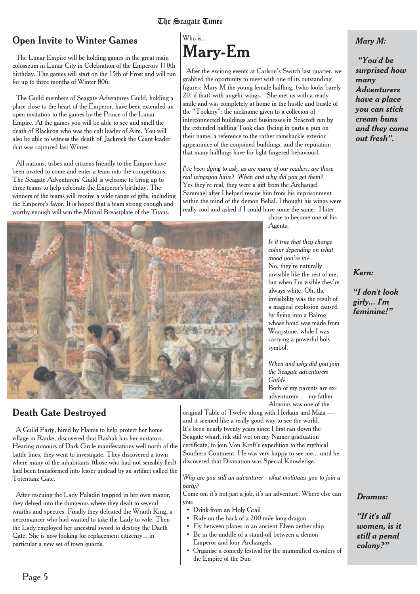# Open Invite to Winter Games

The Lunar Empire will be holding games in the great main colosseum in Lunar City in Celebration of the Emperors 110th birthday. The games will start on the 15th of Frost and will run for up to three months of Winter 806.

The Guild members of Seagate Adventures Guild, holding a place close to the heart of the Emperor, have been extended an open invitation to the games by the Prince of the Lunar Empire. At the games you will be able to see and smell the death of Blackcon who was the cult leader of Aim. You will also be able to witness the death of Jackrock the Giant leader that was captured last Winter.

All nations, tribes and citizens friendly to the Empire have been invited to come and enter a team into the competitions. The Seagate Adventurers' Guild is welcome to bring up to three teams to help celebrate the Emperor's birthday. The winners of the teams will receive a wide range of gifts, including the Emperor's favor. It is hoped that a team strong enough and worthy enough will win the Mithril Breastplate of the Titans.

# $W$ ho is... **Mary-Em**

After the exciting events at Carlson's Switch last quarter, we grabbed the oportunity to meet with one of its outstanding figures: Mary-M the young female halfling, (who looks barely 20, if that) with angelic wings. She met us with a ready smile and was completely at home in the hustle and bustle of the "Tookery": the nickname given to a collecion of interconnected buildings and businesses in Seacroft run by the extended halfling Took clan (being in parts a pun on their name, a reference to the rather ramshackle exterior appearance of the conjoined buildings, and the reputation that many halflings have for light-fingered behaviour).

*I've been dying to ask, as are many of our readers, are those real wingsyou have? When and why did you get them?* Yes they're real, they were a gift from the Archangel Sammael after I helped rescue him from his imprisonment within the mind of the demon Belial. I thought his wings were really cool and asked if I could have some the same. I later

chose to become one of his Agents.



*mood you're in?* No, they're naturally invisible like the rest of me, but when I'm visible they're always white. Oh, the invisibility was the result of a magical explosion caused by flying into a Balrog whose hand was made from Warpstone, while I was carrying a powerful holy symbol.

*When and why did you join the Seagate adventurers Guild?* Both of my parents are ex-

adventurers — my father Aloysius was one of the

original Table of Twelve along with Herkam and Maia and it seemed like a really good way to see the world. It's been nearly twenty years since I first ran down the Seagate wharf, ink still wet on my Namer graduation certificate, to join Von Kroft's expedition to the mythical Southern Continent. He was very happy to see me... until he discovered that Divination was Special Knowledge.

*Why are you still an adventurer - what motivates you to join a party?*

Come on, it's not just a job, it's an adventure. Where else can you:

- Drink from an Holy Grail
- Ride on the back of a 200 mile long dragon
- Fly between planes in an ancient Elven aether ship
- Be in the middle of a stand-off between a demon Emperor and four Archangels.
- Organise a comedy festival for the mummified ex-rulers of the Empire of the Sun

*Mary M:*

*"You'd be surprised how many Adventurers have a place you can stick cream buns and they come out fresh".*

#### *Kern:*

#### *"I don't look girly... I'm feminine!"*

# Death Gate Destroyed

A Guild Party, hired by Flamis to help protect her home village in Ranke, discovered that Rashak has her imitators. Hearing rumours of Dark Circle manifestations well north of the battle lines, they went to investigate. They discovered a town where many of the inhabitants (those who had not sensibly fled) had been transformed into lesser undead by sn artifact called the Totentanz Gate.

After rescuing the Lady Paladin trapped in her own manor, they delved into the dungeons where they dealt to several wraiths and spectres. Finally they defeated the Wraith King, a necromancer who had wanted to take the Lady to wife. Then the Lady employed her ancestral sword to destroy the Daeth Gate. She is now looking for replacement citizenry... in particular a new set of town guards.

*Dramus:*

*"If it's all women, is it still a penal colony?"*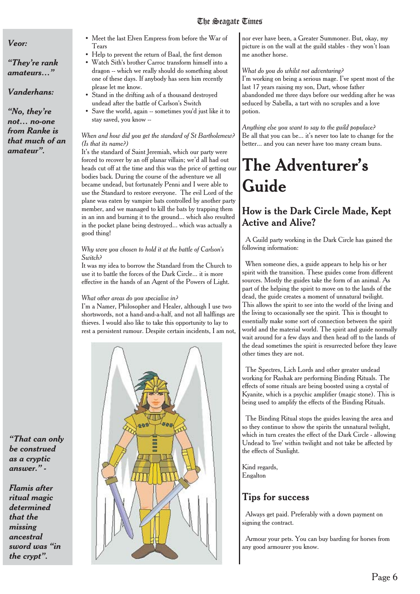#### *Veor:*

*"They're rank amateurs…"*

#### *Vanderhans:*

*"No, they're not… no-one from Ranke is that much of an amateur".*

- Meet the last Elven Empress from before the War of Tears
- Help to prevent the return of Baal, the first demon
- Watch Sith's brother Carroc transform himself into a dragon -- which we really should do something about one of these days. If anybody has seen him recently please let me know.
- Stand in the drifting ash of a thousand destroyed undead after the battle of Carlson's Switch
- Save the world, again -- sometimes you'd just like it to stay saved, you know --

#### *When and how did you get the standard of St Bartholemew? (Is that its name?)*

It's the standard of Saint Jeremiah, which our party were forced to recover by an off planar villain; we'd all had out heads cut off at the time and this was the price of getting our bodies back. During the course of the adventure we all became undead, but fortunately Penni and I were able to use the Standard to restore everyone. The evil Lord of the plane was eaten by vampire bats controlled by another party member, and we managed to kill the bats by trapping them in an inn and burning it to the ground... which also resulted in the pocket plane being destroyed... which was actually a good thing!

#### *Why were you chosen to hold it at the battle of Carlson's Switch?*

It was my idea to borrow the Standard from the Church to use it to battle the forces of the Dark Circle... it is more effective in the hands of an Agent of the Powers of Light.

#### *What other areas do you specialise in?*

I'm a Namer, Philosopher and Healer, although I use two shortswords, not a hand-and-a-half, and not all halflings are thieves. I would also like to take this opportunity to lay to rest a persistent rumour. Despite certain incidents, I am not,



nor ever have been, a Greater Summoner. But, okay, my picture is on the wall at the guild stables - they won't loan me another horse.

#### *What do you do whilst not adventuring?*

I'm working on being a serious mage. I've spent most of the last 17 years raising my son, Dart, whose father abandonded me three days before our wedding after he was seduced by Sabella, a tart with no scruples and a love potion.

*Anything else you want to say to the guild populace?* Be all that you can be... it's never too late to change for the better... and you can never have too many cream buns.

# **The Adventurer's Guide**

## **How is the Dark Circle Made, Kept Active and Alive?**

A Guild party working in the Dark Circle has gained the following information:

When someone dies, a guide appears to help his or her spirit with the transition. These guides come from different sources. Mostly the guides take the form of an animal. As part of the helping the spirit to move on to the lands of the dead, the guide creates a moment of unnatural twilight. This allows the spirit to see into the world of the living and the living to occasionally see the spirit. This is thought to essentially make some sort of connection between the spirit world and the material world. The spirit and guide normally wait around for a few days and then head off to the lands of the dead sometimes the spirit is resurrected before they leave other times they are not.

The Spectres, Lich Lords and other greater undead working for Rashak are performing Binding Rituals. The effects of some rituals are being boosted using a crystal of Kyanite, which is a psychic amplifier (magic stone). This is being used to amplify the effects of the Binding Rituals.

The Binding Ritual stops the guides leaving the area and so they continue to show the spirits the unnatural twilight, which in turn creates the effect of the Dark Circle - allowing Undead to 'live' within twilight and not take be affected by the effects of Sunlight.

Kind regards, Engalton

## Tips for success

Always get paid. Preferably with a down payment on signing the contract.

Armour your pets. You can buy barding for horses from any good armourer you know.

*"That can only be construed as a cryptic answer." -*

*Flamis after ritual magic determined that the missing ancestral sword was "in the crypt".*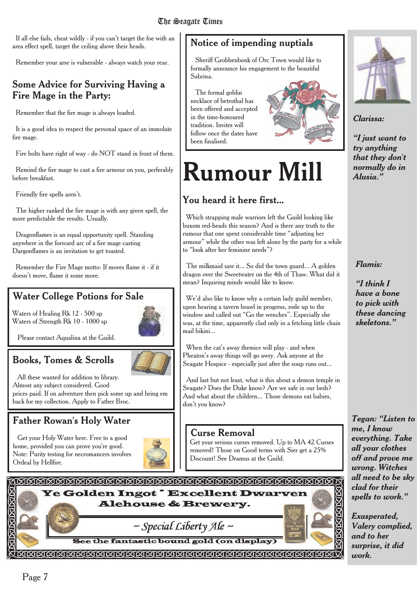If all else fails, cheat wildly - if you can't target the foe with an area effect spell, target the ceiling above their heads.

Remember your arse is vulnerable - always watch your rear.

## Some Advice for Surviving Having a Fire Mage in the Party:

Remember that the fire mage is always loaded.

It is a good idea to respect the personal space of an immolate fire mage.

Fire bolts have right of way - do NOT stand in front of them.

Remind the fire mage to cast a fire armour on you, perferably before breakfast.

Friendly fire spells aren't.

The higher ranked the fire mage is with any given spell, the more predictable the results. Usually.

Dragonflames is an equal opportunity spell. Standing anywhere in the forward arc of a fire mage casting Dargonflames is an invitation to get toasted.

Remember the Fire Mage motto: If moves flame it - if it doesn't move, flame it some more.

# Water College Potions for Sale

Waters of Healing Rk 12 - 500 sp Waters of Strength Rk 10 - 1000 sp

Please contact Aqualina at the Guild.

# Books, Tomes & Scrolls

All these wanted for addition to library. Almost any subject considered. Good prices paid. If on adventure then pick some up and bring em back for my collection. Apply to Father Broc.

# Father Rowan's Holy Water

Get your Holy Water here. Free to a good home, provided you can prove you're good. Note: Purity testing for necromancers involves Ordeal by Hellfire.



# Notice of impending nuptials

Sheriff Grobbenbonk of Orc Town would like to formally announce his engagement to the beautiful Sabrina.

The formal goblin necklace of betrothal has been offered and accepted in the time-honoured tradition. Invites will follow once the dates have been finalised.





# You heard it here first...

Which strapping male warriors left the Guild looking like buxom red-heads this season? And is there any truth to the rumour that one spent considerable time "adjusting her armour" while the other was left alone by the party for a while to "look after her feminine needs"?

The milkmaid saw it... So did the town guard... A golden dragon over the Sweetwater on the 4th of Thaw. What did it mean? Inquiring minds would like to know.

We'd also like to know why a certain lady guild member, upon hearing a tavern brawl in progress, rode up to the window and called out "Go the wenches". Especially she was, at the time, apparently clad only in a fetching little chain mail bikini...

When the cat's away themice will play - and when Pheaton's away things will go awry. Ask anyone at the Seagate Hospice - especially just after the soup runs out...

And last but not least, what is this about a demon temple in Seagate? Does the Duke know? Are we safe in our beds? And what about the children... Those demons eat babies, don't you know?

### Curse Removal

Get your serious curses removed. Up to MA 42 Curses removed! Those on Good terms with Sier get a 25% Discount! See Dramus at the Guild.



See the fantastic bound gold (on display)





*Clarissa:*

*"I just want to try anything that they don't normally do in Alusia."*

*Flamis:*

*"I think I have a bone to pick with these dancing skeletons."*

*Tegan: "Listen to me, I know everything. Take all your clothes off and prove me wrong. Witches all need to be sky clad for their spells to work."*

*Exasperated, Valery complied, and to her surprise, it did work.*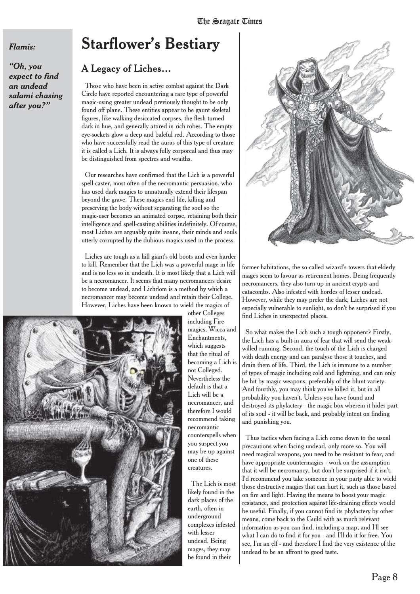#### *Flamis:*

*"Oh, you expect to find an undead salami chasing after you?"*

# **Starflower's Bestiary**

#### A Legacy of Liches…

Those who have been in active combat against the Dark Circle have reported encountering a rare type of powerful magic-using greater undead previously thought to be only found off plane. These entities appear to be gaunt skeletal figures, like walking desiccated corpses, the flesh turned dark in hue, and generally attired in rich robes. The empty eye-sockets glow a deep and baleful red. According to those who have successfully read the auras of this type of creature it is called a Lich. It is always fully corporeal and thus may be distinguished from spectres and wraiths.

Our researches have confirmed that the Lich is a powerful spell-caster, most often of the necromantic persuasion, who has used dark magics to unnaturally extend their lifespan beyond the grave. These magics end life, killing and preserving the body without separating the soul so the magic-user becomes an animated corpse, retaining both their intelligence and spell-casting abilities indefinitely. Of course, most Liches are arguably quite insane, their minds and souls utterly corrupted by the dubious magics used in the process.

Liches are tough as a hill giant's old boots and even harder to kill. Remember that the Lich was a powerful mage in life and is no less so in undeath. It is most likely that a Lich will be a necromancer. It seems that many necromancers desire to become undead, and Lichdom is a method by which a necromancer may become undead and retain their College. However, Liches have been known to wield the magics of



other Colleges including Fire magics, Wicca and Enchantments, which suggests that the ritual of becoming a Lich is not Colleged. Nevertheless the default is that a Lich will be a necromancer, and therefore I would recommend taking necromantic counterspells when you suspect you may be up against one of these creatures.

The Lich is most likely found in the dark places of the earth, often in underground complexes infested with lesser undead. Being mages, they may be found in their



former habitations, the so-called wizard's towers that elderly mages seem to favour as retirement homes. Being frequently necromancers, they also turn up in ancient crypts and catacombs. Also infested with hordes of lesser undead. However, while they may prefer the dark, Liches are not especially vulnerable to sunlight, so don't be surprised if you find Liches in unexpected places.

So what makes the Lich such a tough opponent? Firstly, the Lich has a built-in aura of fear that will send the weakwilled running. Second, the touch of the Lich is charged with death energy and can paralyse those it touches, and drain them of life. Third, the Lich is immune to a number of types of magic including cold and lightning, and can only be hit by magic weapons, preferably of the blunt variety. And fourthly, you may think you've killed it, but in all probability you haven't. Unless you have found and destroyed its phylactery - the magic box wherein it hides part of its soul - it will be back, and probably intent on finding and punishing you.

Thus tactics when facing a Lich come down to the usual precautions when facing undead, only more so. You will need magical weapons, you need to be resistant to fear, and have appropriate countermagics - work on the assumption that it will be necromancy, but don't be surprised if it isn't. I'd recommend you take someone in your party able to wield those destructive magics that can hurt it, such as those based on fire and light. Having the means to boost your magic resistance, and protection against life-draining effects would be useful. Finally, if you cannot find its phylactery by other means, come back to the Guild with as much relevant information as you can find, including a map, and I'll see what I can do to find it for you - and I'll do it for free. You see, I'm an elf - and therefore I find the very existence of the undead to be an affront to good taste.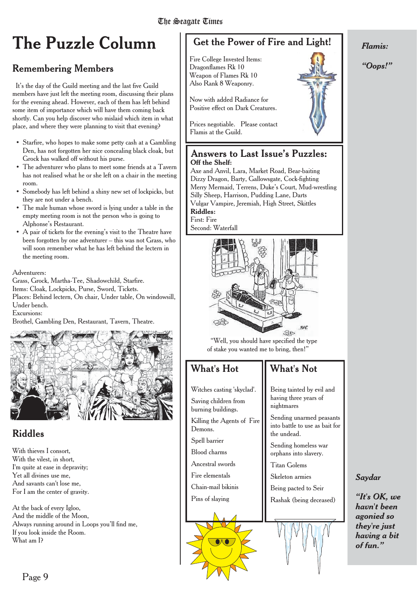# **The Puzzle Column**

# Remembering Members

It's the day of the Guild meeting and the last five Guild members have just left the meeting room, discussing their plans for the evening ahead. However, each of them has left behind some item of importance which will have them coming back shortly. Can you help discover who mislaid which item in what place, and where they were planning to visit that evening?

- Starfire, who hopes to make some petty cash at a Gambling Den, has not forgotten her nice concealing black cloak, but Grock has walked off without his purse.
- The adventurer who plans to meet some friends at a Tavern has not realised what he or she left on a chair in the meeting room.
- Somebody has left behind a shiny new set of lockpicks, but they are not under a bench.
- The male human whose sword is lying under a table in the empty meeting room is not the person who is going to Alphonse's Restaurant.
- A pair of tickets for the evening's visit to the Theatre have been forgotten by one adventurer – this was not Grass, who will soon remember what he has left behind the lectern in the meeting room.

#### Adventurers:

Grass, Grock, Martha-Tee, Shadowchild, Starfire. Items: Cloak, Lockpicks, Purse, Sword, Tickets. Places: Behind lectern, On chair, Under table, On windowsill, Under bench.

Excursions:

Brothel, Gambling Den, Restaurant, Tavern, Theatre.



## Riddles

With thieves I consort, With the vilest, in short, I'm quite at ease in depravity; Yet all divines use me, And savants can't lose me, For I am the center of gravity.

At the back of every Igloo, And the middle of the Moon, Always running around in Loops you'll find me, If you look inside the Room. What am I?

# Get the Power of Fire and Light!

Fire College Invested Items: Dragonflames Rk 10 Weapon of Flames Rk 10 Also Rank 8 Weaponry.

Now with added Radiance for Positive effect on Dark Creatures.

Prices negotiable. Please contact Flamis at the Guild.

#### Answers to Last Issue's Puzzles: **Off the Shelf:**

Axe and Anvil, Lara, Market Road, Bear-baiting Dizzy Dragon, Barty, Gallowsgate, Cock-fighting Merry Mermaid, Terrens, Duke's Court, Mud-wrestling Silly Sheep, Harrison, Pudding Lane, Darts Vulgar Vampire, Jeremiah, High Street, Skittles **Riddles:** First: Fire

Second: Waterfall



"Well, you should have specified the type of stake you wanted me to bring, then!"

## What's Hot

Witches casting 'skyclad'. Saving children from burning buildings.

Killing the Agents of Fire

Demons. Spell barrier Blood charms Ancestral swords Fire elementals Chain-mail bikinis Pins of slaying

# What's Not

Being tainted by evil and having three years of nightmares

Sending unarmed peasants into battle to use as bait for the undead.

Sending homeless war orphans into slavery.

Titan Golems

Skeleton armies

Being pacted to Seir Rashak (being deceased)





*Saydar*

*havn't been agonied so they're just having a bit of fun."*

#### *Flamis:*

*"Oops!"*